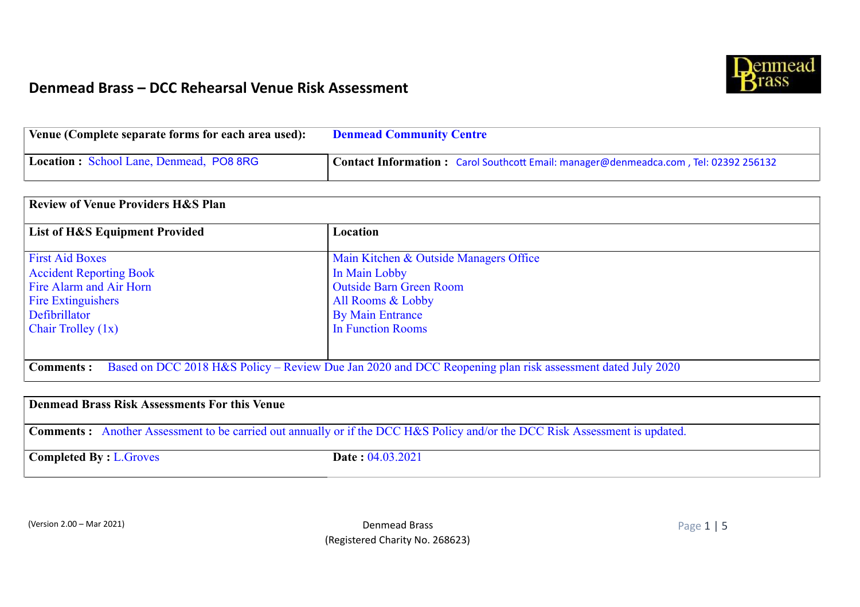

| Venue (Complete separate forms for each area used): | <b>Denmead Community Centre</b>                                                      |  |  |
|-----------------------------------------------------|--------------------------------------------------------------------------------------|--|--|
| Location: School Lane, Denmead, PO8 8RG             | Contact Information: Carol Southcott Email: manager@denmeadca.com, Tel: 02392 256132 |  |  |

| <b>Review of Venue Providers H&amp;S Plan</b>                                                                                 |                                        |  |  |  |
|-------------------------------------------------------------------------------------------------------------------------------|----------------------------------------|--|--|--|
| <b>List of H&amp;S Equipment Provided</b>                                                                                     | Location                               |  |  |  |
| <b>First Aid Boxes</b>                                                                                                        | Main Kitchen & Outside Managers Office |  |  |  |
| <b>Accident Reporting Book</b>                                                                                                | In Main Lobby                          |  |  |  |
| Fire Alarm and Air Horn                                                                                                       | <b>Outside Barn Green Room</b>         |  |  |  |
| <b>Fire Extinguishers</b>                                                                                                     | All Rooms & Lobby                      |  |  |  |
| Defibrillator                                                                                                                 | <b>By Main Entrance</b>                |  |  |  |
| <b>Chair Trolley <math>(1x)</math></b>                                                                                        | In Function Rooms                      |  |  |  |
|                                                                                                                               |                                        |  |  |  |
| Based on DCC 2018 H&S Policy – Review Due Jan 2020 and DCC Reopening plan risk assessment dated July 2020<br><b>Comments:</b> |                                        |  |  |  |

| Denmead Brass Risk Assessments For this Venue |                                                                                                                                    |  |  |
|-----------------------------------------------|------------------------------------------------------------------------------------------------------------------------------------|--|--|
|                                               | <b>Comments:</b> Another Assessment to be carried out annually or if the DCC H&S Policy and/or the DCC Risk Assessment is updated. |  |  |
| <b>Completed By: L.Groves</b>                 | <b>Date: 04.03.2021</b>                                                                                                            |  |  |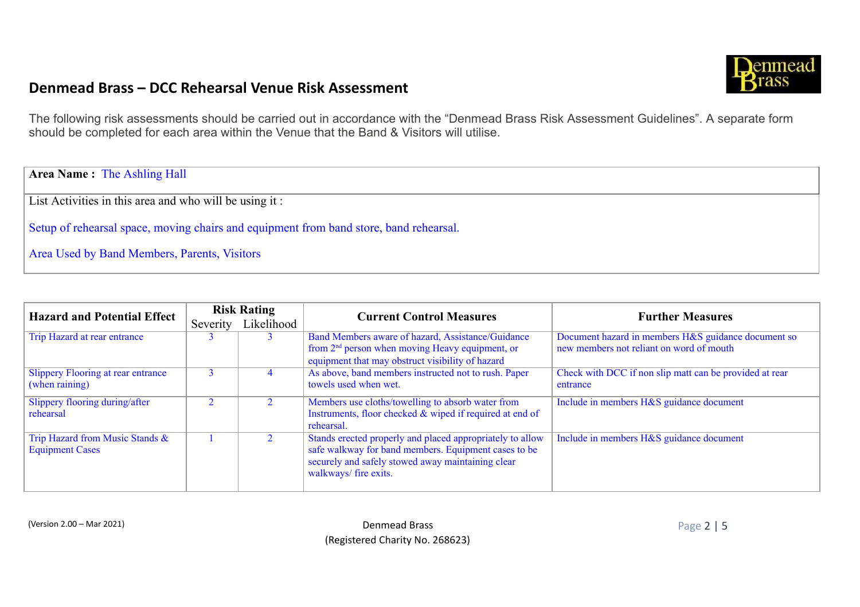

The following risk assessments should be carried out in accordance with the "Denmead Brass Risk Assessment Guidelines". A separate form should be completed for each area within the Venue that the Band & Visitors will utilise.

**Area Name :** The Ashling Hall

List Activities in this area and who will be using it :

Setup of rehearsal space, moving chairs and equipment from band store, band rehearsal.

Area Used by Band Members, Parents, Visitors

| <b>Hazard and Potential Effect</b>                          | <b>Risk Rating</b> |            | <b>Current Control Measures</b>                                                                                                                                                                 | <b>Further Measures</b>                                                                         |  |
|-------------------------------------------------------------|--------------------|------------|-------------------------------------------------------------------------------------------------------------------------------------------------------------------------------------------------|-------------------------------------------------------------------------------------------------|--|
|                                                             | Severity           | Likelihood |                                                                                                                                                                                                 |                                                                                                 |  |
| Trip Hazard at rear entrance                                |                    |            | Band Members aware of hazard, Assistance/Guidance<br>from $2nd$ person when moving Heavy equipment, or<br>equipment that may obstruct visibility of hazard                                      | Document hazard in members H&S guidance document so<br>new members not reliant on word of mouth |  |
| <b>Slippery Flooring at rear entrance</b><br>(when raining) |                    | 4          | As above, band members instructed not to rush. Paper<br>towels used when wet.                                                                                                                   | Check with DCC if non slip matt can be provided at rear<br>entrance                             |  |
| Slippery flooring during/after<br>rehearsal                 |                    |            | Members use cloths/towelling to absorb water from<br>Instruments, floor checked & wiped if required at end of<br>rehearsal.                                                                     | Include in members H&S guidance document                                                        |  |
| Trip Hazard from Music Stands &<br><b>Equipment Cases</b>   |                    |            | Stands erected properly and placed appropriately to allow<br>safe walkway for band members. Equipment cases to be<br>securely and safely stowed away maintaining clear<br>walkways/ fire exits. | Include in members H&S guidance document                                                        |  |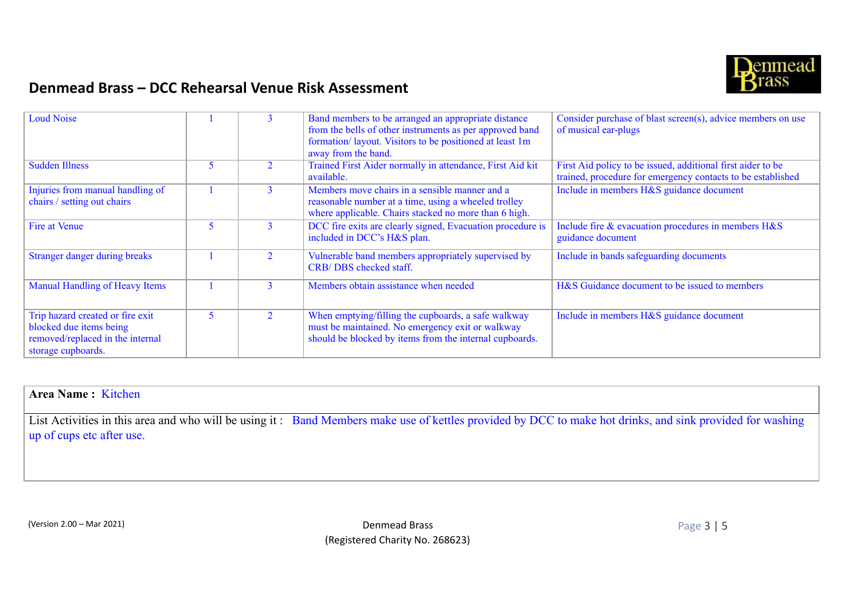

| Loud Noise                                                                                                            |   | 3 | Band members to be arranged an appropriate distance<br>from the bells of other instruments as per approved band<br>formation/ layout. Visitors to be positioned at least 1m<br>away from the band. | Consider purchase of blast screen(s), advice members on use<br>of musical ear-plugs                                        |
|-----------------------------------------------------------------------------------------------------------------------|---|---|----------------------------------------------------------------------------------------------------------------------------------------------------------------------------------------------------|----------------------------------------------------------------------------------------------------------------------------|
| <b>Sudden Illness</b>                                                                                                 |   |   | Trained First Aider normally in attendance, First Aid kit<br>available.                                                                                                                            | First Aid policy to be issued, additional first aider to be<br>trained, procedure for emergency contacts to be established |
| Injuries from manual handling of<br>chairs / setting out chairs                                                       |   | 3 | Members move chairs in a sensible manner and a<br>reasonable number at a time, using a wheeled trolley<br>where applicable. Chairs stacked no more than 6 high.                                    | Include in members H&S guidance document                                                                                   |
| Fire at Venue                                                                                                         |   | 3 | DCC fire exits are clearly signed, Evacuation procedure is<br>included in DCC's H&S plan.                                                                                                          | Include fire & evacuation procedures in members H&S<br>guidance document                                                   |
| Stranger danger during breaks                                                                                         |   |   | Vulnerable band members appropriately supervised by<br>CRB/DBS checked staff.                                                                                                                      | Include in bands safeguarding documents                                                                                    |
| Manual Handling of Heavy Items                                                                                        |   |   | Members obtain assistance when needed                                                                                                                                                              | H&S Guidance document to be issued to members                                                                              |
| Trip hazard created or fire exit<br>blocked due items being<br>removed/replaced in the internal<br>storage cupboards. | 5 |   | When emptying/filling the cupboards, a safe walkway<br>must be maintained. No emergency exit or walkway<br>should be blocked by items from the internal cupboards.                                 | Include in members H&S guidance document                                                                                   |

#### **Area Name :** Kitchen

List Activities in this area and who will be using it: Band Members make use of kettles provided by DCC to make hot drinks, and sink provided for washing up of cups etc after use.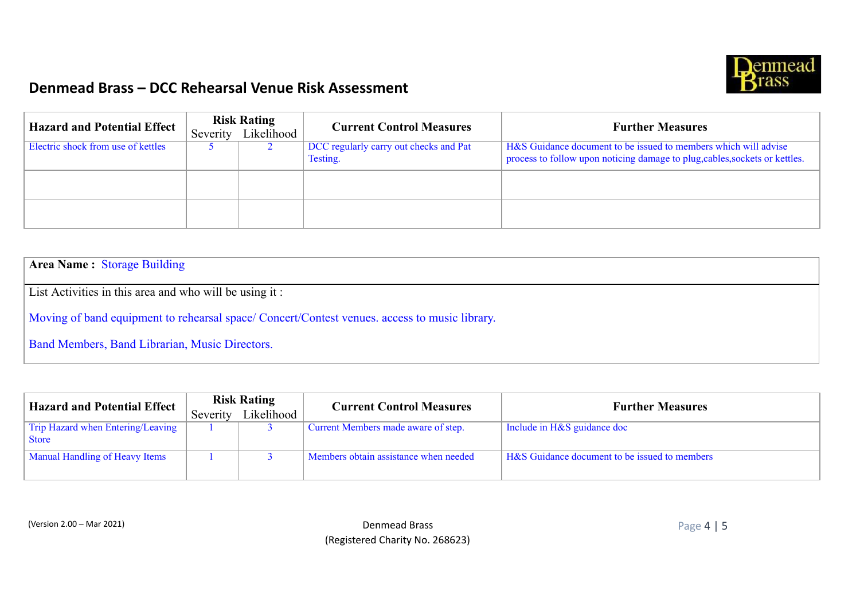

| <b>Hazard and Potential Effect</b> | <b>Risk Rating</b><br>Severity Likelihood | <b>Current Control Measures</b>                    | <b>Further Measures</b>                                                                                                                        |
|------------------------------------|-------------------------------------------|----------------------------------------------------|------------------------------------------------------------------------------------------------------------------------------------------------|
| Electric shock from use of kettles |                                           | DCC regularly carry out checks and Pat<br>Testing. | H&S Guidance document to be issued to members which will advise<br>process to follow upon noticing damage to plug, cables, sockets or kettles. |
|                                    |                                           |                                                    |                                                                                                                                                |
|                                    |                                           |                                                    |                                                                                                                                                |

**Area Name :** Storage Building

List Activities in this area and who will be using it :

Moving of band equipment to rehearsal space/ Concert/Contest venues. access to music library.

Band Members, Band Librarian, Music Directors.

| <b>Hazard and Potential Effect</b>                | <b>Risk Rating</b> |            | <b>Current Control Measures</b>       | <b>Further Measures</b>                       |
|---------------------------------------------------|--------------------|------------|---------------------------------------|-----------------------------------------------|
|                                                   | Severity           | Likelihood |                                       |                                               |
| Trip Hazard when Entering/Leaving<br><b>Store</b> |                    |            | Current Members made aware of step.   | Include in H&S guidance doc                   |
| <b>Manual Handling of Heavy Items</b>             |                    |            | Members obtain assistance when needed | H&S Guidance document to be issued to members |